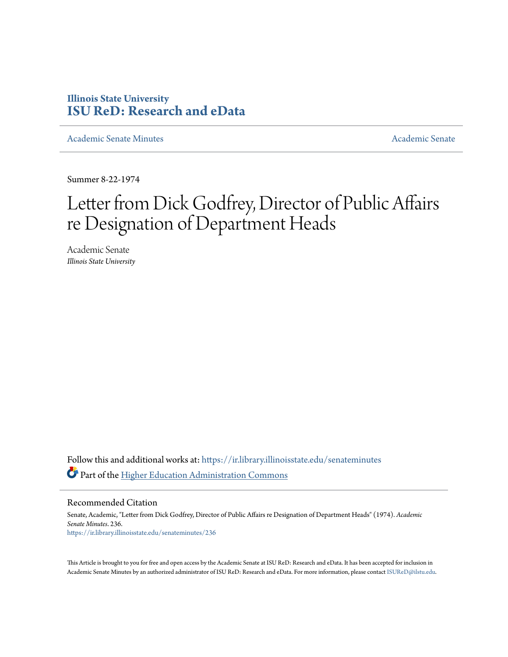## **Illinois State University [ISU ReD: Research and eData](https://ir.library.illinoisstate.edu?utm_source=ir.library.illinoisstate.edu%2Fsenateminutes%2F236&utm_medium=PDF&utm_campaign=PDFCoverPages)**

[Academic Senate Minutes](https://ir.library.illinoisstate.edu/senateminutes?utm_source=ir.library.illinoisstate.edu%2Fsenateminutes%2F236&utm_medium=PDF&utm_campaign=PDFCoverPages) [Academic Senate](https://ir.library.illinoisstate.edu/senate?utm_source=ir.library.illinoisstate.edu%2Fsenateminutes%2F236&utm_medium=PDF&utm_campaign=PDFCoverPages) Academic Senate Academic Senate

Summer 8-22-1974

## Letter from Dick Godfrey, Director of Public Affairs re Designation of Department Heads

Academic Senate *Illinois State University*

Follow this and additional works at: [https://ir.library.illinoisstate.edu/senateminutes](https://ir.library.illinoisstate.edu/senateminutes?utm_source=ir.library.illinoisstate.edu%2Fsenateminutes%2F236&utm_medium=PDF&utm_campaign=PDFCoverPages) Part of the [Higher Education Administration Commons](http://network.bepress.com/hgg/discipline/791?utm_source=ir.library.illinoisstate.edu%2Fsenateminutes%2F236&utm_medium=PDF&utm_campaign=PDFCoverPages)

Recommended Citation

Senate, Academic, "Letter from Dick Godfrey, Director of Public Affairs re Designation of Department Heads" (1974). *Academic Senate Minutes*. 236. [https://ir.library.illinoisstate.edu/senateminutes/236](https://ir.library.illinoisstate.edu/senateminutes/236?utm_source=ir.library.illinoisstate.edu%2Fsenateminutes%2F236&utm_medium=PDF&utm_campaign=PDFCoverPages)

This Article is brought to you for free and open access by the Academic Senate at ISU ReD: Research and eData. It has been accepted for inclusion in Academic Senate Minutes by an authorized administrator of ISU ReD: Research and eData. For more information, please contact [ISUReD@ilstu.edu.](mailto:ISUReD@ilstu.edu)